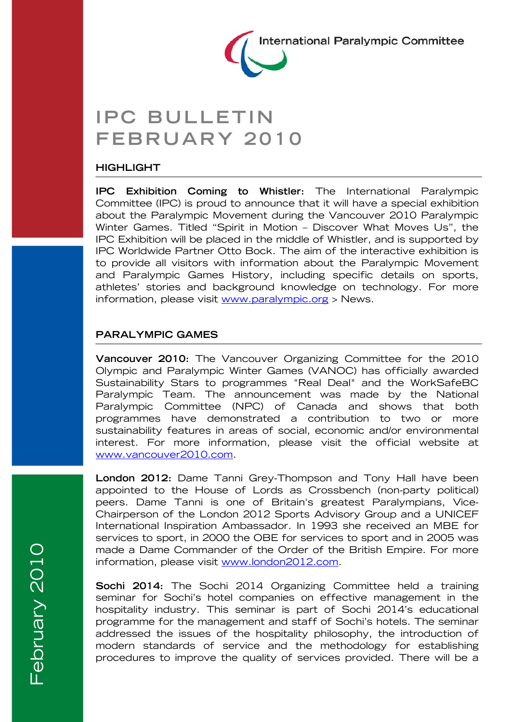

# **IPC BULLETIN FEBRUARY 2010**

#### **HIGHLIGHT**

**IPC Exhibition Coming to Whistler:** The International Paralympic Committee (IPC) is proud to announce that it will have a special exhibition about the Paralympic Movement during the Vancouver 2010 Paralympic Winter Games. Titled "Spirit in Motion – Discover What Moves Us", the IPC Exhibition will be placed in the middle of Whistler, and is supported by IPC Worldwide Partner Otto Bock. The aim of the interactive exhibition is to provide all visitors with information about the Paralympic Movement and Paralympic Games History, including specific details on sports, athletes' stories and background knowledge on technology. For more information, please visit www.paralympic.org > News.

### **PARALYMPIC GAMES**

**Vancouver 2010:** The Vancouver Organizing Committee for the 2010 Olympic and Paralympic Winter Games (VANOC) has officially awarded Sustainability Stars to programmes "Real Deal" and the WorkSafeBC Paralympic Team. The announcement was made by the National Paralympic Committee (NPC) of Canada and shows that both programmes have demonstrated a contribution to two or more sustainability features in areas of social, economic and/or environmental interest. For more information, please visit the official website at www.vancouver2010.com.

**London 2012:** Dame Tanni Grey-Thompson and Tony Hall have been appointed to the House of Lords as Crossbench (non-party political) peers. Dame Tanni is one of Britain's greatest Paralympians, Vice-Chairperson of the London 2012 Sports Advisory Group and a UNICEF International Inspiration Ambassador. In 1993 she received an MBE for services to sport, in 2000 the OBE for services to sport and in 2005 was made a Dame Commander of the Order of the British Empire. For more information, please visit www.london2012.com.

**Sochi 2014:** The Sochi 2014 Organizing Committee held a training seminar for Sochi's hotel companies on effective management in the hospitality industry. This seminar is part of Sochi 2014's educational programme for the management and staff of Sochi's hotels. The seminar addressed the issues of the hospitality philosophy, the introduction of modern standards of service and the methodology for establishing procedures to improve the quality of services provided. There will be a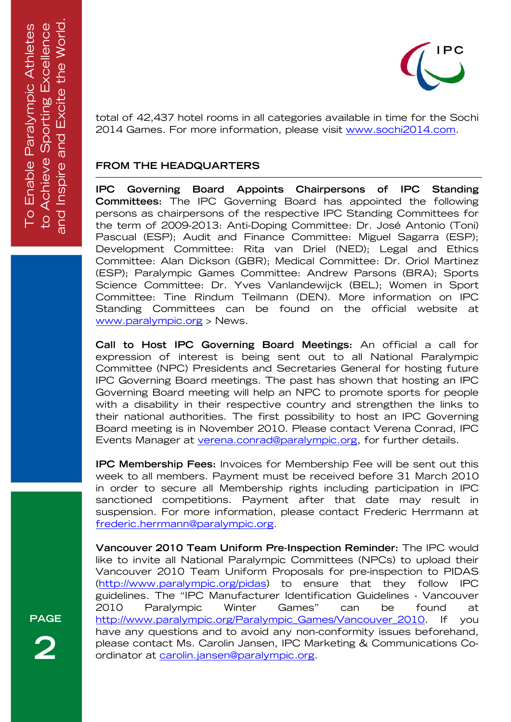

total of 42,437 hotel rooms in all categories available in time for the Sochi 2014 Games. For more information, please visit www.sochi2014.com.

## **FROM THE HEADQUARTERS**

**IPC Governing Board Appoints Chairpersons of IPC Standing Committees:** The IPC Governing Board has appointed the following persons as chairpersons of the respective IPC Standing Committees for the term of 2009-2013: Anti-Doping Committee: Dr. José Antonio (Toni) Pascual (ESP); Audit and Finance Committee: Miguel Sagarra (ESP); Development Committee: Rita van Driel (NED); Legal and Ethics Committee: Alan Dickson (GBR); Medical Committee: Dr. Oriol Martinez (ESP); Paralympic Games Committee: Andrew Parsons (BRA); Sports Science Committee: Dr. Yves Vanlandewijck (BEL); Women in Sport Committee: Tine Rindum Teilmann (DEN). More information on IPC Standing Committees can be found on the official website at www.paralympic.org > News.

**Call to Host IPC Governing Board Meetings:** An official a call for expression of interest is being sent out to all National Paralympic Committee (NPC) Presidents and Secretaries General for hosting future IPC Governing Board meetings. The past has shown that hosting an IPC Governing Board meeting will help an NPC to promote sports for people with a disability in their respective country and strengthen the links to their national authorities. The first possibility to host an IPC Governing Board meeting is in November 2010. Please contact Verena Conrad, IPC Events Manager at verena.conrad@paralympic.org, for further details.

**IPC Membership Fees:** Invoices for Membership Fee will be sent out this week to all members. Payment must be received before 31 March 2010 in order to secure all Membership rights including participation in IPC sanctioned competitions. Payment after that date may result in suspension. For more information, please contact Frederic Herrmann at frederic.herrmann@paralympic.org.

**Vancouver 2010 Team Uniform Pre-Inspection Reminder:** The IPC would like to invite all National Paralympic Committees (NPCs) to upload their Vancouver 2010 Team Uniform Proposals for pre-inspection to PIDAS (http://www.paralympic.org/pidas) to ensure that they follow IPC guidelines. The "IPC Manufacturer Identification Guidelines - Vancouver 2010 Paralympic Winter Games" can be found at http://www.paralympic.org/Paralympic\_Games/Vancouver\_2010. If you have any questions and to avoid any non-conformity issues beforehand, please contact Ms. Carolin Jansen, IPC Marketing & Communications Coordinator at carolin.jansen@paralympic.org.

**PAGE 2**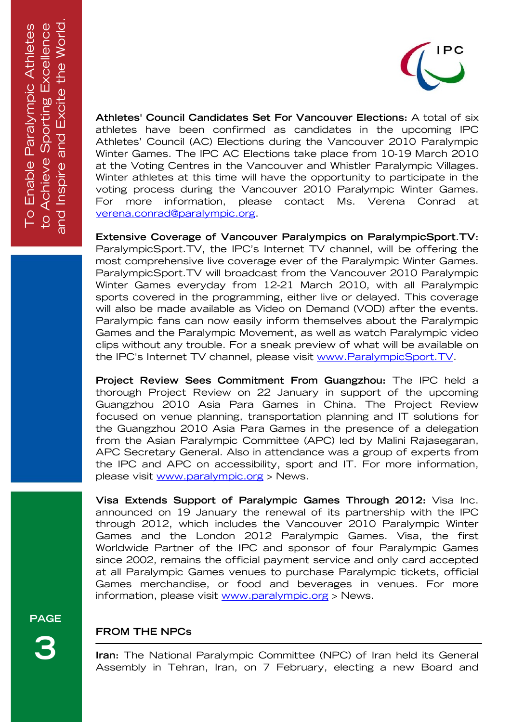

**Athletes' Council Candidates Set For Vancouver Elections:** A total of six athletes have been confirmed as candidates in the upcoming IPC Athletes' Council (AC) Elections during the Vancouver 2010 Paralympic Winter Games. The IPC AC Elections take place from 10-19 March 2010 at the Voting Centres in the Vancouver and Whistler Paralympic Villages. Winter athletes at this time will have the opportunity to participate in the voting process during the Vancouver 2010 Paralympic Winter Games. For more information, please contact Ms. Verena Conrad at verena.conrad@paralympic.org.

**Extensive Coverage of Vancouver Paralympics on ParalympicSport.TV:**  ParalympicSport.TV, the IPC's Internet TV channel, will be offering the most comprehensive live coverage ever of the Paralympic Winter Games. ParalympicSport.TV will broadcast from the Vancouver 2010 Paralympic Winter Games everyday from 12-21 March 2010, with all Paralympic sports covered in the programming, either live or delayed. This coverage will also be made available as Video on Demand (VOD) after the events. Paralympic fans can now easily inform themselves about the Paralympic Games and the Paralympic Movement, as well as watch Paralympic video clips without any trouble. For a sneak preview of what will be available on the IPC's Internet TV channel, please visit www.ParalympicSport.TV.

**Project Review Sees Commitment From Guangzhou:** The IPC held a thorough Project Review on 22 January in support of the upcoming Guangzhou 2010 Asia Para Games in China. The Project Review focused on venue planning, transportation planning and IT solutions for the Guangzhou 2010 Asia Para Games in the presence of a delegation from the Asian Paralympic Committee (APC) led by Malini Rajasegaran, APC Secretary General. Also in attendance was a group of experts from the IPC and APC on accessibility, sport and IT. For more information, please visit www.paralympic.org > News.

**Visa Extends Support of Paralympic Games Through 2012:** Visa Inc. announced on 19 January the renewal of its partnership with the IPC through 2012, which includes the Vancouver 2010 Paralympic Winter Games and the London 2012 Paralympic Games. Visa, the first Worldwide Partner of the IPC and sponsor of four Paralympic Games since 2002, remains the official payment service and only card accepted at all Paralympic Games venues to purchase Paralympic tickets, official Games merchandise, or food and beverages in venues. For more information, please visit www.paralympic.org > News.

**PAGE** 

**3** 

# **FROM THE NPCs**

**Iran:** The National Paralympic Committee (NPC) of Iran held its General Assembly in Tehran, Iran, on 7 February, electing a new Board and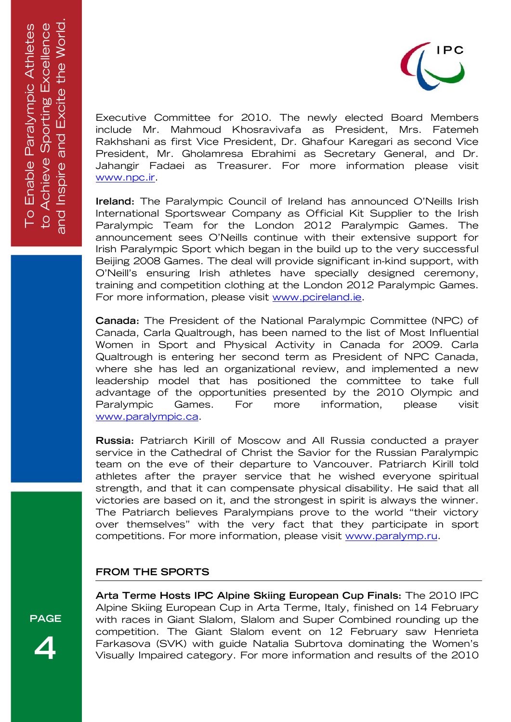

Executive Committee for 2010. The newly elected Board Members include Mr. Mahmoud Khosravivafa as President, Mrs. Fatemeh Rakhshani as first Vice President, Dr. Ghafour Karegari as second Vice President, Mr. Gholamresa Ebrahimi as Secretary General, and Dr. Jahangir Fadaei as Treasurer. For more information please visit www.npc.ir.

**Ireland:** The Paralympic Council of Ireland has announced O'Neills Irish International Sportswear Company as Official Kit Supplier to the Irish Paralympic Team for the London 2012 Paralympic Games. The announcement sees O'Neills continue with their extensive support for Irish Paralympic Sport which began in the build up to the very successful Beijing 2008 Games. The deal will provide significant in-kind support, with O'Neill's ensuring Irish athletes have specially designed ceremony, training and competition clothing at the London 2012 Paralympic Games. For more information, please visit www.pcireland.ie.

**Canada:** The President of the National Paralympic Committee (NPC) of Canada, Carla Qualtrough, has been named to the list of Most Influential Women in Sport and Physical Activity in Canada for 2009. Carla Qualtrough is entering her second term as President of NPC Canada, where she has led an organizational review, and implemented a new leadership model that has positioned the committee to take full advantage of the opportunities presented by the 2010 Olympic and Paralympic Games. For more information, please visit www.paralympic.ca.

**Russia:** Patriarch Kirill of Moscow and All Russia conducted a prayer service in the Cathedral of Christ the Savior for the Russian Paralympic team on the eve of their departure to Vancouver. Patriarch Kirill told athletes after the prayer service that he wished everyone spiritual strength, and that it can compensate physical disability. He said that all victories are based on it, and the strongest in spirit is always the winner. The Patriarch believes Paralympians prove to the world "their victory over themselves" with the very fact that they participate in sport competitions. For more information, please visit www.paralymp.ru.

#### **FROM THE SPORTS**

**Arta Terme Hosts IPC Alpine Skiing European Cup Finals:** The 2010 IPC Alpine Skiing European Cup in Arta Terme, Italy, finished on 14 February with races in Giant Slalom, Slalom and Super Combined rounding up the competition. The Giant Slalom event on 12 February saw Henrieta Farkasova (SVK) with guide Natalia Subrtova dominating the Women's Visually Impaired category. For more information and results of the 2010

**PAGE** 

**4**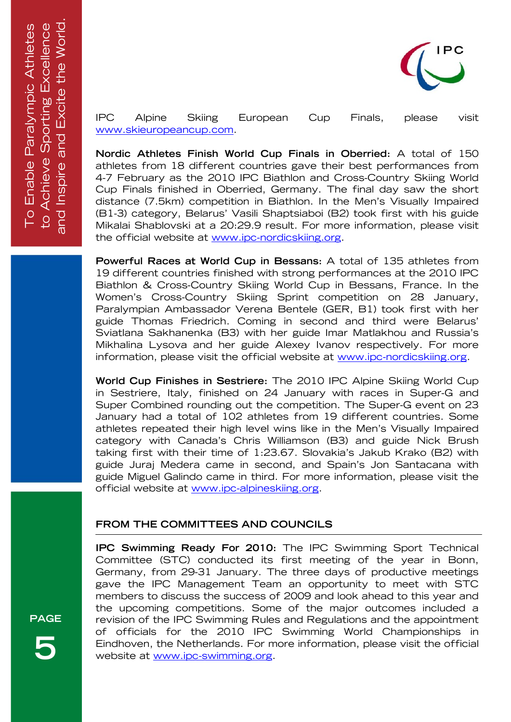

IPC Alpine Skiing European Cup Finals, please visit www.skieuropeancup.com.

**Nordic Athletes Finish World Cup Finals in Oberried:** A total of 150 athletes from 18 different countries gave their best performances from 4-7 February as the 2010 IPC Biathlon and Cross-Country Skiing World Cup Finals finished in Oberried, Germany. The final day saw the short distance (7.5km) competition in Biathlon. In the Men's Visually Impaired (B1-3) category, Belarus' Vasili Shaptsiaboi (B2) took first with his guide Mikalai Shablovski at a 20:29.9 result. For more information, please visit the official website at www.ipc-nordicskiing.org.

**Powerful Races at World Cup in Bessans:** A total of 135 athletes from 19 different countries finished with strong performances at the 2010 IPC Biathlon & Cross-Country Skiing World Cup in Bessans, France. In the Women's Cross-Country Skiing Sprint competition on 28 January, Paralympian Ambassador Verena Bentele (GER, B1) took first with her guide Thomas Friedrich. Coming in second and third were Belarus' Sviatlana Sakhanenka (B3) with her guide Imar Matlakhou and Russia's Mikhalina Lysova and her guide Alexey Ivanov respectively. For more information, please visit the official website at www.ipc-nordicskiing.org.

**World Cup Finishes in Sestriere:** The 2010 IPC Alpine Skiing World Cup in Sestriere, Italy, finished on 24 January with races in Super-G and Super Combined rounding out the competition. The Super-G event on 23 January had a total of 102 athletes from 19 different countries. Some athletes repeated their high level wins like in the Men's Visually Impaired category with Canada's Chris Williamson (B3) and guide Nick Brush taking first with their time of 1:23.67. Slovakia's Jakub Krako (B2) with guide Juraj Medera came in second, and Spain's Jon Santacana with guide Miguel Galindo came in third. For more information, please visit the official website at www.ipc-alpineskiing.org.

#### **FROM THE COMMITTEES AND COUNCILS**

**IPC Swimming Ready For 2010:** The IPC Swimming Sport Technical Committee (STC) conducted its first meeting of the year in Bonn, Germany, from 29-31 January. The three days of productive meetings gave the IPC Management Team an opportunity to meet with STC members to discuss the success of 2009 and look ahead to this year and the upcoming competitions. Some of the major outcomes included a revision of the IPC Swimming Rules and Regulations and the appointment of officials for the 2010 IPC Swimming World Championships in Eindhoven, the Netherlands. For more information, please visit the official website at www.ipc-swimming.org.

**PAGE 5**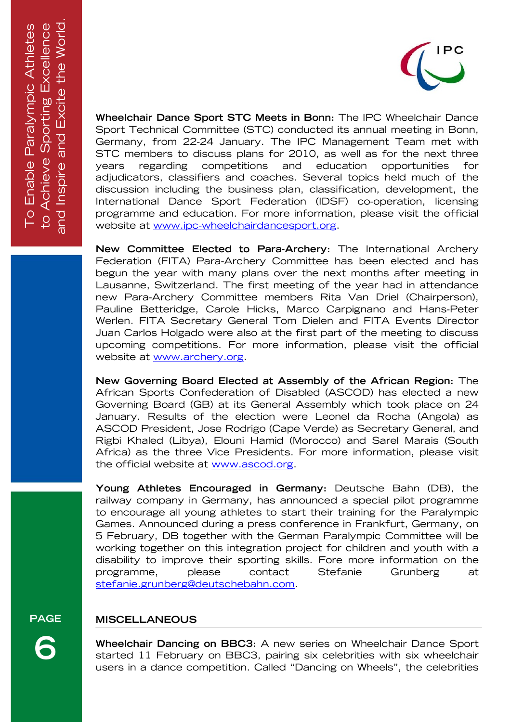

**Wheelchair Dance Sport STC Meets in Bonn:** The IPC Wheelchair Dance Sport Technical Committee (STC) conducted its annual meeting in Bonn, Germany, from 22-24 January. The IPC Management Team met with STC members to discuss plans for 2010, as well as for the next three years regarding competitions and education opportunities for adjudicators, classifiers and coaches. Several topics held much of the discussion including the business plan, classification, development, the International Dance Sport Federation (IDSF) co-operation, licensing programme and education. For more information, please visit the official website at www.ipc-wheelchairdancesport.org.

**New Committee Elected to Para-Archery:** The International Archery Federation (FITA) Para-Archery Committee has been elected and has begun the year with many plans over the next months after meeting in Lausanne, Switzerland. The first meeting of the year had in attendance new Para-Archery Committee members Rita Van Driel (Chairperson), Pauline Betteridge, Carole Hicks, Marco Carpignano and Hans-Peter Werlen. FITA Secretary General Tom Dielen and FITA Events Director Juan Carlos Holgado were also at the first part of the meeting to discuss upcoming competitions. For more information, please visit the official website at www.archery.org.

**New Governing Board Elected at Assembly of the African Region:** The African Sports Confederation of Disabled (ASCOD) has elected a new Governing Board (GB) at its General Assembly which took place on 24 January. Results of the election were Leonel da Rocha (Angola) as ASCOD President, Jose Rodrigo (Cape Verde) as Secretary General, and Rigbi Khaled (Libya), Elouni Hamid (Morocco) and Sarel Marais (South Africa) as the three Vice Presidents. For more information, please visit the official website at www.ascod.org.

**Young Athletes Encouraged in Germany:** Deutsche Bahn (DB), the railway company in Germany, has announced a special pilot programme to encourage all young athletes to start their training for the Paralympic Games. Announced during a press conference in Frankfurt, Germany, on 5 February, DB together with the German Paralympic Committee will be working together on this integration project for children and youth with a disability to improve their sporting skills. Fore more information on the programme, please contact Stefanie Grunberg at stefanie.grunberg@deutschebahn.com.

# **MISCELLANEOUS**

**Wheelchair Dancing on BBC3:** A new series on Wheelchair Dance Sport started 11 February on BBC3, pairing six celebrities with six wheelchair users in a dance competition. Called "Dancing on Wheels", the celebrities

**PAGE** 

**6**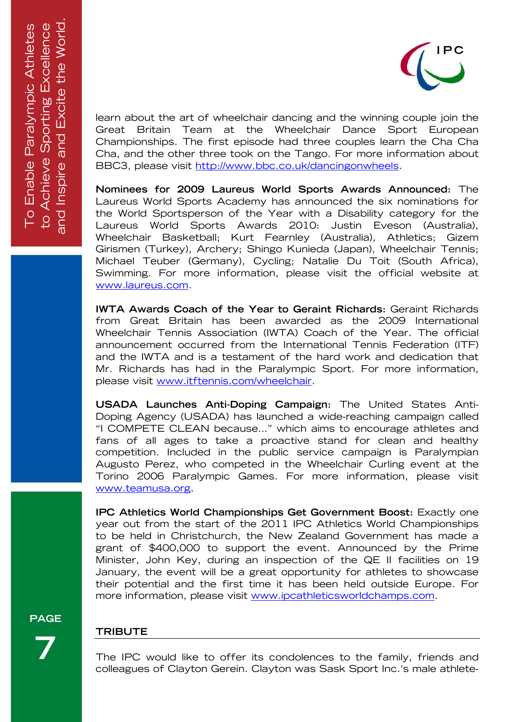

learn about the art of wheelchair dancing and the winning couple join the Great Britain Team at the Wheelchair Dance Sport European Championships. The first episode had three couples learn the Cha Cha Cha, and the other three took on the Tango. For more information about BBC3, please visit http://www.bbc.co.uk/dancingonwheels.

**Nominees for 2009 Laureus World Sports Awards Announced:** The Laureus World Sports Academy has announced the six nominations for the World Sportsperson of the Year with a Disability category for the Laureus World Sports Awards 2010: Justin Eveson (Australia), Wheelchair Basketball; Kurt Fearnley (Australia), Athletics; Gizem Girismen (Turkey), Archery; Shingo Kunieda (Japan), Wheelchair Tennis; Michael Teuber (Germany), Cycling; Natalie Du Toit (South Africa), Swimming. For more information, please visit the official website at www.laureus.com.

**IWTA Awards Coach of the Year to Geraint Richards:** Geraint Richards from Great Britain has been awarded as the 2009 International Wheelchair Tennis Association (IWTA) Coach of the Year. The official announcement occurred from the International Tennis Federation (ITF) and the IWTA and is a testament of the hard work and dedication that Mr. Richards has had in the Paralympic Sport. For more information, please visit www.itftennis.com/wheelchair.

**USADA Launches Anti-Doping Campaign:** The United States Anti-Doping Agency (USADA) has launched a wide-reaching campaign called "I COMPETE CLEAN because…" which aims to encourage athletes and fans of all ages to take a proactive stand for clean and healthy competition. Included in the public service campaign is Paralympian Augusto Perez, who competed in the Wheelchair Curling event at the Torino 2006 Paralympic Games. For more information, please visit www.teamusa.org.

**IPC Athletics World Championships Get Government Boost:** Exactly one year out from the start of the 2011 IPC Athletics World Championships to be held in Christchurch, the New Zealand Government has made a grant of \$400,000 to support the event. Announced by the Prime Minister, John Key, during an inspection of the QE II facilities on 19 January, the event will be a great opportunity for athletes to showcase their potential and the first time it has been held outside Europe. For more information, please visit www.ipcathleticsworldchamps.com.

**PAGE** 

**7** 

# **TRIBUTE**

The IPC would like to offer its condolences to the family, friends and colleagues of Clayton Gerein. Clayton was Sask Sport Inc.'s male athlete-